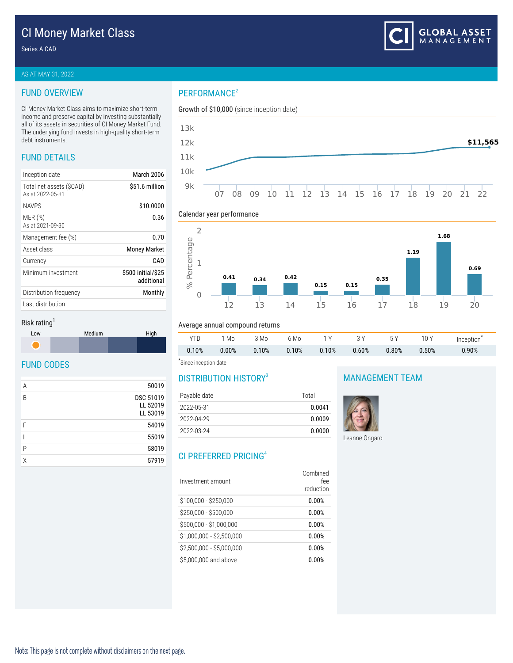#### Series A CAD

#### AS AT MAY 31, 2022

### FUND OVERVIEW

CI Money Market Class aims to maximize short-term income and preserve capital by investing substantially all of its assets in securities of CI Money Market Fund. The underlying fund invests in high-quality short-term debt instruments.

# FUND DETAILS

| Inception date                              | March 2006                       |
|---------------------------------------------|----------------------------------|
| Total net assets (SCAD)<br>As at 2022-05-31 | \$51.6 million                   |
| <b>NAVPS</b>                                | \$10,0000                        |
| MER(%)<br>As at 2021-09-30                  | 0.36                             |
| Management fee (%)                          | 0.70                             |
| Asset class                                 | <b>Money Market</b>              |
| Currency                                    | CAD                              |
| Minimum investment                          | \$500 initial/\$25<br>additional |
| Distribution frequency                      | Monthly                          |
| Last distribution                           |                                  |

# PERFORMANCE<sup>2</sup>





#### Calendar year performance



YTD 1 Mo 3 Mo 6 Mo 1 Y 3 Y 5 Y 10 Y Inception $^\star$ 0.10% 0.00% 0.10% 0.10% 0.10% 0.60% 0.80% 0.50% 0.90%

#### Risk rating<sup>1</sup>



## FUND CODES

| Α | 50019                                    |
|---|------------------------------------------|
| B | <b>DSC 51019</b><br>LL 52019<br>LL 53019 |
| F | 54019                                    |
|   | 55019                                    |
| Ρ | 58019                                    |
| X | 57919                                    |

\* Since inception date

# DISTRIBUTION HISTORY<sup>3</sup>

Average annual compound returns

| Payable date | Total  |  |
|--------------|--------|--|
| 2022-05-31   | 0.0041 |  |
| 2022-04-29   | 0.0009 |  |
| 2022-03-24   | 0.0000 |  |

# CI PREFERRED PRICING<sup>4</sup>

| Investment amount         | Combined<br>fee<br>reduction |
|---------------------------|------------------------------|
| \$100,000 - \$250,000     | 0.00%                        |
| \$250,000 - \$500,000     | 0.00%                        |
| \$500,000 - \$1,000,000   | 0.00%                        |
| $$1,000,000 - $2,500,000$ | 0.00%                        |
| \$2,500,000 - \$5,000,000 | 0.00%                        |
| \$5,000,000 and above     | 0.00%                        |

## MANAGEMENT TEAM



Leanne Ongaro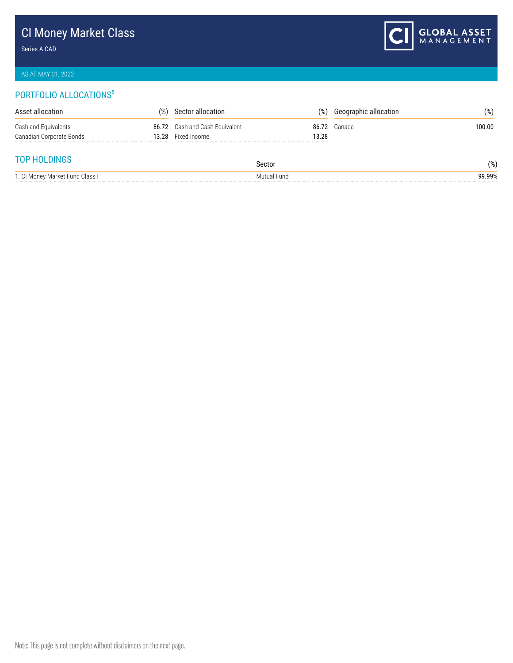# CI Money Market Class

Series A CAD



# AS AT MAY 31, 2022

# PORTFOLIO ALLOCATIONS<sup>5</sup>

| Asset allocation         | %)                             | allocation<br>Secto      | $\%$ , | Geographic allocation | '%)         |
|--------------------------|--------------------------------|--------------------------|--------|-----------------------|-------------|
| Cash and Equivalents     | 86.72                          | Cash and Cash Equivalent | 86.    | Canada                | 100.00<br>. |
| Canadian Corporate Bonds | 13.28<br>********************* | Fixed Income             | 3.28   |                       |             |
|                          |                                |                          |        |                       |             |

# TOP HOLDINGS

| ושו                         | Sector      | 0۷ /       |
|-----------------------------|-------------|------------|
| <b>טטאוועבעו</b>            | .           | $\sqrt{0}$ |
| l Monev Market Fund Class I | Mutual Fund | 99.99%     |